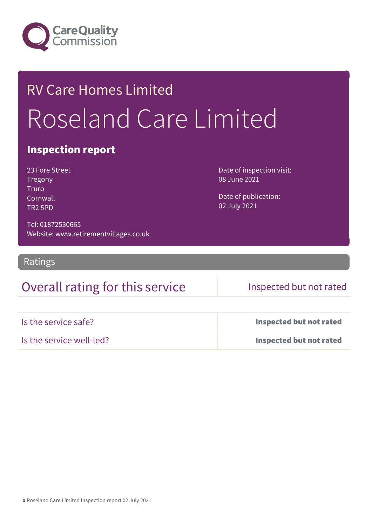

## RV Care Homes Limited Roseland Care Limited

#### Inspection report

23 Fore Street Tregony Truro **Cornwall** TR2 5PD

Date of inspection visit: 08 June 2021

Date of publication: 02 July 2021

Tel: 01872530665 Website: www.retirementvillages.co.uk

Ratings

### Overall rating for this service Inspected but not rated

| Is the service safe?     | <b>Inspected but not rated</b> |
|--------------------------|--------------------------------|
| Is the service well-led? | <b>Inspected but not rated</b> |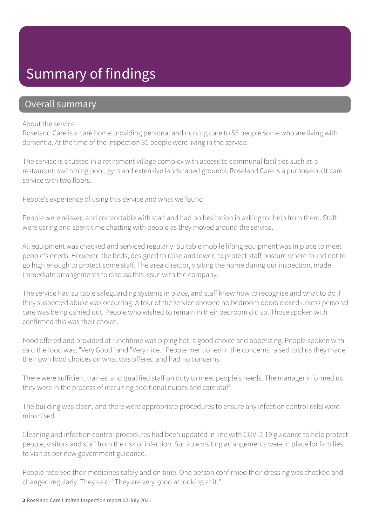## Summary of findings

#### Overall summary

#### About the service

Roseland Care is a care home providing personal and nursing care to 55 people some who are living with dementia. At the time of the inspection 31 people were living in the service.

The service is situated in a retirement village complex with access to communal facilities such as a restaurant, swimming pool, gym and extensive landscaped grounds. Roseland Care is a purpose-built care service with two floors.

People's experience of using this service and what we found

People were relaxed and comfortable with staff and had no hesitation in asking for help from them. Staff were caring and spent time chatting with people as they moved around the service.

All equipment was checked and serviced regularly. Suitable mobile lifting equipment was in place to meet people's needs. However, the beds, designed to raise and lower, to protect staff posture where found not to go high enough to protect some staff. The area director, visiting the home during our inspection, made immediate arrangements to discuss this issue with the company.

The service had suitable safeguarding systems in place, and staff knew how to recognise and what to do if they suspected abuse was occurring. A tour of the service showed no bedroom doors closed unless personal care was being carried out. People who wished to remain in their bedroom did so. Those spoken with confirmed this was their choice.

Food offered and provided at lunchtime was piping hot, a good choice and appetizing. People spoken with said the food was; "Very Good" and "Very nice." People mentioned in the concerns raised told us they made their own food choices on what was offered and had no concerns.

There were sufficient trained and qualified staff on duty to meet people's needs. The manager informed us they were in the process of recruiting additional nurses and care staff.

The building was clean, and there were appropriate procedures to ensure any infection control risks were minimised.

Cleaning and infection control procedures had been updated in line with COVID-19 guidance to help protect people, visitors and staff from the risk of infection. Suitable visiting arrangements were in place for families to visit as per new government guidance.

People received their medicines safely and on time. One person confirmed their dressing was checked and changed regularly. They said; "They are very good at looking at it."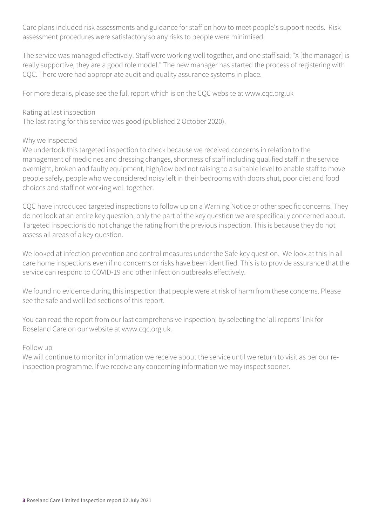Care plans included risk assessments and guidance for staff on how to meet people's support needs. Risk assessment procedures were satisfactory so any risks to people were minimised.

The service was managed effectively. Staff were working well together, and one staff said; "X [the manager] is really supportive, they are a good role model." The new manager has started the process of registering with CQC. There were had appropriate audit and quality assurance systems in place.

For more details, please see the full report which is on the CQC website at www.cqc.org.uk

#### Rating at last inspection

The last rating for this service was good (published 2 October 2020).

#### Why we inspected

We undertook this targeted inspection to check because we received concerns in relation to the management of medicines and dressing changes, shortness of staff including qualified staff in the service overnight, broken and faulty equipment, high/low bed not raising to a suitable level to enable staff to move people safely, people who we considered noisy left in their bedrooms with doors shut, poor diet and food choices and staff not working well together.

CQC have introduced targeted inspections to follow up on a Warning Notice or other specific concerns. They do not look at an entire key question, only the part of the key question we are specifically concerned about. Targeted inspections do not change the rating from the previous inspection. This is because they do not assess all areas of a key question.

We looked at infection prevention and control measures under the Safe key question. We look at this in all care home inspections even if no concerns or risks have been identified. This is to provide assurance that the service can respond to COVID-19 and other infection outbreaks effectively.

We found no evidence during this inspection that people were at risk of harm from these concerns. Please see the safe and well led sections of this report.

You can read the report from our last comprehensive inspection, by selecting the 'all reports' link for Roseland Care on our website at www.cqc.org.uk.

#### Follow up

We will continue to monitor information we receive about the service until we return to visit as per our reinspection programme. If we receive any concerning information we may inspect sooner.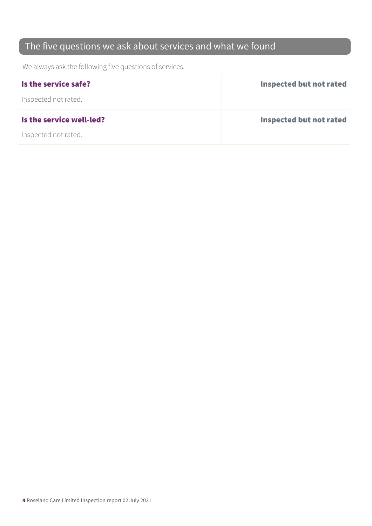## The five questions we ask about services and what we found

We always ask the following five questions of services.

| Is the service safe?     | <b>Inspected but not rated</b> |
|--------------------------|--------------------------------|
| Inspected not rated.     |                                |
| Is the service well-led? | Inspected but not rated        |
| Inspected not rated.     |                                |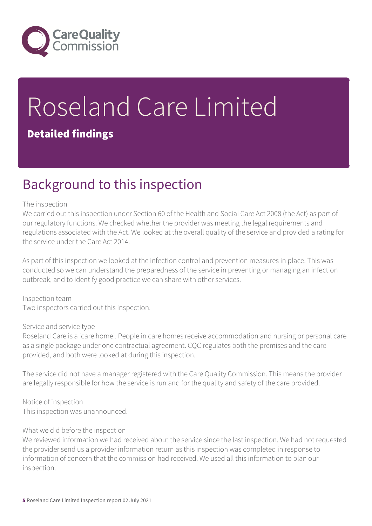

# Roseland Care Limited

#### Detailed findings

## Background to this inspection

#### The inspection

We carried out this inspection under Section 60 of the Health and Social Care Act 2008 (the Act) as part of our regulatory functions. We checked whether the provider was meeting the legal requirements and regulations associated with the Act. We looked at the overall quality of the service and provided a rating for the service under the Care Act 2014.

As part of this inspection we looked at the infection control and prevention measures in place. This was conducted so we can understand the preparedness of the service in preventing or managing an infection outbreak, and to identify good practice we can share with other services.

Inspection team Two inspectors carried out this inspection.

#### Service and service type

Roseland Care is a 'care home'. People in care homes receive accommodation and nursing or personal care as a single package under one contractual agreement. CQC regulates both the premises and the care provided, and both were looked at during this inspection.

The service did not have a manager registered with the Care Quality Commission. This means the provider are legally responsible for how the service is run and for the quality and safety of the care provided.

Notice of inspection This inspection was unannounced.

#### What we did before the inspection

We reviewed information we had received about the service since the last inspection. We had not requested the provider send us a provider information return as this inspection was completed in response to information of concern that the commission had received. We used all this information to plan our inspection.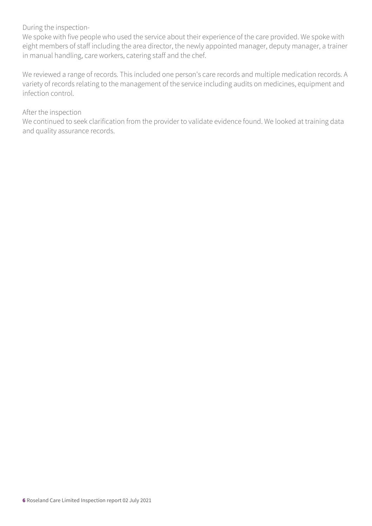#### During the inspection-

We spoke with five people who used the service about their experience of the care provided. We spoke with eight members of staff including the area director, the newly appointed manager, deputy manager, a trainer in manual handling, care workers, catering staff and the chef.

We reviewed a range of records. This included one person's care records and multiple medication records. A variety of records relating to the management of the service including audits on medicines, equipment and infection control.

#### After the inspection

We continued to seek clarification from the provider to validate evidence found. We looked at training data and quality assurance records.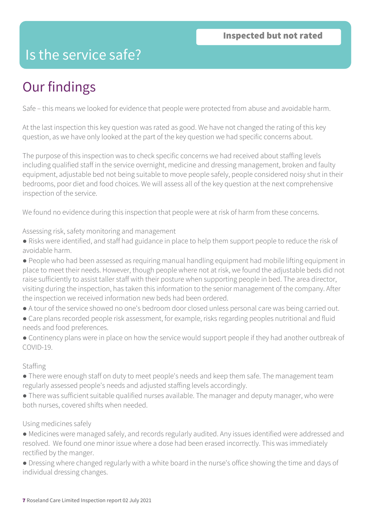## Is the service safe?

## Our findings

Safe – this means we looked for evidence that people were protected from abuse and avoidable harm.

At the last inspection this key question was rated as good. We have not changed the rating of this key question, as we have only looked at the part of the key question we had specific concerns about.

The purpose of this inspection was to check specific concerns we had received about staffing levels including qualified staff in the service overnight, medicine and dressing management, broken and faulty equipment, adjustable bed not being suitable to move people safely, people considered noisy shut in their bedrooms, poor diet and food choices. We will assess all of the key question at the next comprehensive inspection of the service.

We found no evidence during this inspection that people were at risk of harm from these concerns.

Assessing risk, safety monitoring and management

- Risks were identified, and staff had guidance in place to help them support people to reduce the risk of avoidable harm.
- People who had been assessed as requiring manual handling equipment had mobile lifting equipment in place to meet their needs. However, though people where not at risk, we found the adjustable beds did not raise sufficiently to assist taller staff with their posture when supporting people in bed. The area director, visiting during the inspection, has taken this information to the senior management of the company. After the inspection we received information new beds had been ordered.
- A tour of the service showed no one's bedroom door closed unless personal care was being carried out.
- Care plans recorded people risk assessment, for example, risks regarding peoples nutritional and fluid needs and food preferences.
- Continency plans were in place on how the service would support people if they had another outbreak of COVID-19.

#### Staffing

- There were enough staff on duty to meet people's needs and keep them safe. The management team regularly assessed people's needs and adjusted staffing levels accordingly.
- There was sufficient suitable qualified nurses available. The manager and deputy manager, who were both nurses, covered shifts when needed.

#### Using medicines safely

- Medicines were managed safely, and records regularly audited. Any issues identified were addressed and resolved. We found one minor issue where a dose had been erased incorrectly. This was immediately rectified by the manger.
- Dressing where changed regularly with a white board in the nurse's office showing the time and days of individual dressing changes.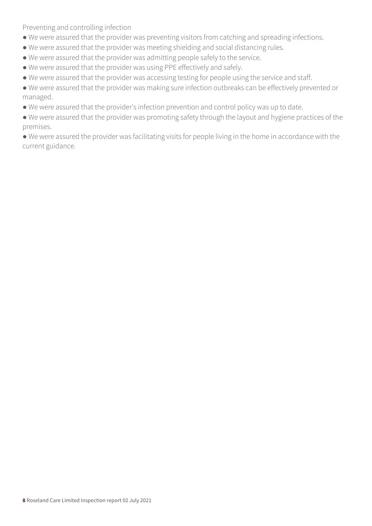Preventing and controlling infection

- We were assured that the provider was preventing visitors from catching and spreading infections.
- We were assured that the provider was meeting shielding and social distancing rules.
- We were assured that the provider was admitting people safely to the service.
- We were assured that the provider was using PPE effectively and safely.
- We were assured that the provider was accessing testing for people using the service and staff.
- We were assured that the provider was making sure infection outbreaks can be effectively prevented or managed.
- We were assured that the provider's infection prevention and control policy was up to date.
- We were assured that the provider was promoting safety through the layout and hygiene practices of the premises.
- We were assured the provider was facilitating visits for people living in the home in accordance with the current guidance.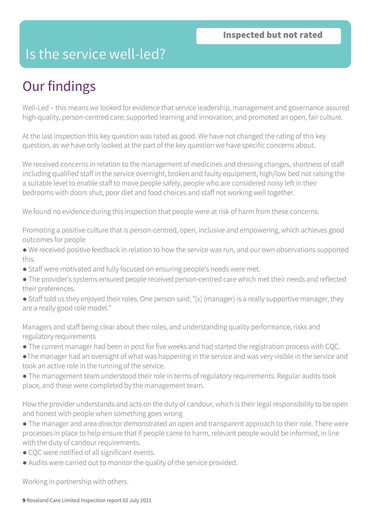## Is the service well-led?

## Our findings

Well-Led – this means we looked for evidence that service leadership, management and governance assured high-quality, person-centred care; supported learning and innovation; and promoted an open, fair culture.

At the last inspection this key question was rated as good. We have not changed the rating of this key question, as we have only looked at the part of the key question we have specific concerns about.

We received concerns in relation to the management of medicines and dressing changes, shortness of staff including qualified staff in the service overnight, broken and faulty equipment, high/low bed not raising the a suitable level to enable staff to move people safely, people who are considered noisy left in their bedrooms with doors shut, poor diet and food choices and staff not working well together.

We found no evidence during this inspection that people were at risk of harm from these concerns.

Promoting a positive culture that is person-centred, open, inclusive and empowering, which achieves good outcomes for people

● We received positive feedback in relation to how the service was run, and our own observations supported this.

- Staff were motivated and fully focused on ensuring people's needs were met.
- The provider's systems ensured people received person-centred care which met their needs and reflected their preferences.
- Staff told us they enjoyed their roles. One person said; "[x] (manager) is a really supportive manager, they are a really good role model."

Managers and staff being clear about their roles, and understanding quality performance, risks and regulatory requirements

- The current manager had been in post for five weeks and had started the registration process with CQC.
- ●The manager had an oversight of what was happening in the service and was very visible in the service and took an active role in the running of the service.

● The management team understood their role in terms of regulatory requirements. Regular audits took place, and these were completed by the management team.

How the provider understands and acts on the duty of candour, which is their legal responsibility to be open and honest with people when something goes wrong

- The manager and area director demonstrated an open and transparent approach to their role. There were processes in place to help ensure that if people came to harm, relevant people would be informed, in line with the duty of candour requirements.
- CQC were notified of all significant events.
- Audits were carried out to monitor the quality of the service provided.

Working in partnership with others

9 Roseland Care Limited Inspection report 02 July 2021